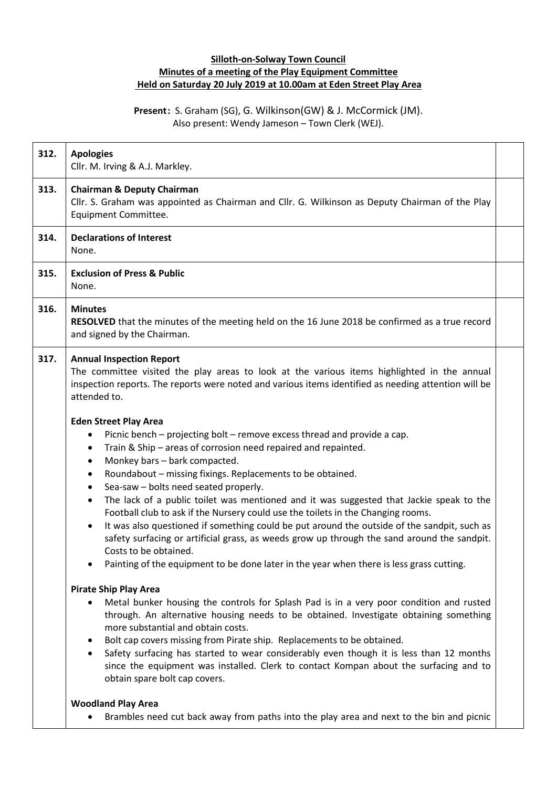## **Silloth-on-Solway Town Council Minutes of a meeting of the Play Equipment Committee Held on Saturday 20 July 2019 at 10.00am at Eden Street Play Area**

## **Present:** S. Graham (SG), G. Wilkinson(GW) & J. McCormick (JM). Also present: Wendy Jameson – Town Clerk (WEJ).

| 312. | <b>Apologies</b><br>Cllr. M. Irving & A.J. Markley.                                                                                                                                                                                                                                                                                                                                                                                                                                                                                                                                                                                                                                                                                                                                                                                                                                                                                                                                                                                                                                                                                 |  |
|------|-------------------------------------------------------------------------------------------------------------------------------------------------------------------------------------------------------------------------------------------------------------------------------------------------------------------------------------------------------------------------------------------------------------------------------------------------------------------------------------------------------------------------------------------------------------------------------------------------------------------------------------------------------------------------------------------------------------------------------------------------------------------------------------------------------------------------------------------------------------------------------------------------------------------------------------------------------------------------------------------------------------------------------------------------------------------------------------------------------------------------------------|--|
| 313. | <b>Chairman &amp; Deputy Chairman</b><br>Cllr. S. Graham was appointed as Chairman and Cllr. G. Wilkinson as Deputy Chairman of the Play<br>Equipment Committee.                                                                                                                                                                                                                                                                                                                                                                                                                                                                                                                                                                                                                                                                                                                                                                                                                                                                                                                                                                    |  |
| 314. | <b>Declarations of Interest</b><br>None.                                                                                                                                                                                                                                                                                                                                                                                                                                                                                                                                                                                                                                                                                                                                                                                                                                                                                                                                                                                                                                                                                            |  |
| 315. | <b>Exclusion of Press &amp; Public</b><br>None.                                                                                                                                                                                                                                                                                                                                                                                                                                                                                                                                                                                                                                                                                                                                                                                                                                                                                                                                                                                                                                                                                     |  |
| 316. | <b>Minutes</b><br><b>RESOLVED</b> that the minutes of the meeting held on the 16 June 2018 be confirmed as a true record<br>and signed by the Chairman.                                                                                                                                                                                                                                                                                                                                                                                                                                                                                                                                                                                                                                                                                                                                                                                                                                                                                                                                                                             |  |
| 317. | <b>Annual Inspection Report</b><br>The committee visited the play areas to look at the various items highlighted in the annual<br>inspection reports. The reports were noted and various items identified as needing attention will be<br>attended to.                                                                                                                                                                                                                                                                                                                                                                                                                                                                                                                                                                                                                                                                                                                                                                                                                                                                              |  |
|      | <b>Eden Street Play Area</b><br>Picnic bench - projecting bolt - remove excess thread and provide a cap.<br>$\bullet$<br>Train & Ship - areas of corrosion need repaired and repainted.<br>$\bullet$<br>Monkey bars - bark compacted.<br>$\bullet$<br>Roundabout - missing fixings. Replacements to be obtained.<br>$\bullet$<br>Sea-saw - bolts need seated properly.<br>$\bullet$<br>The lack of a public toilet was mentioned and it was suggested that Jackie speak to the<br>$\bullet$<br>Football club to ask if the Nursery could use the toilets in the Changing rooms.<br>It was also questioned if something could be put around the outside of the sandpit, such as<br>safety surfacing or artificial grass, as weeds grow up through the sand around the sandpit.<br>Costs to be obtained.<br>Painting of the equipment to be done later in the year when there is less grass cutting.<br><b>Pirate Ship Play Area</b><br>Metal bunker housing the controls for Splash Pad is in a very poor condition and rusted<br>$\bullet$<br>through. An alternative housing needs to be obtained. Investigate obtaining something |  |
|      | more substantial and obtain costs.<br>Bolt cap covers missing from Pirate ship. Replacements to be obtained.<br>$\bullet$<br>Safety surfacing has started to wear considerably even though it is less than 12 months<br>$\bullet$<br>since the equipment was installed. Clerk to contact Kompan about the surfacing and to<br>obtain spare bolt cap covers.                                                                                                                                                                                                                                                                                                                                                                                                                                                                                                                                                                                                                                                                                                                                                                         |  |
|      | <b>Woodland Play Area</b><br>Brambles need cut back away from paths into the play area and next to the bin and picnic                                                                                                                                                                                                                                                                                                                                                                                                                                                                                                                                                                                                                                                                                                                                                                                                                                                                                                                                                                                                               |  |